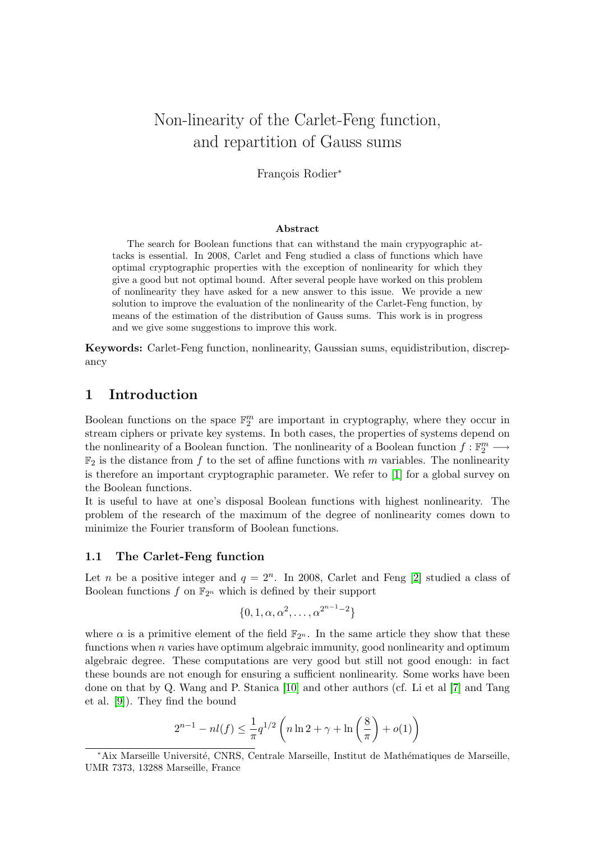# Non-linearity of the Carlet-Feng function, and repartition of Gauss sums

François Rodier<sup>\*</sup>

#### Abstract

The search for Boolean functions that can withstand the main crypyographic attacks is essential. In 2008, Carlet and Feng studied a class of functions which have optimal cryptographic properties with the exception of nonlinearity for which they give a good but not optimal bound. After several people have worked on this problem of nonlinearity they have asked for a new answer to this issue. We provide a new solution to improve the evaluation of the nonlinearity of the Carlet-Feng function, by means of the estimation of the distribution of Gauss sums. This work is in progress and we give some suggestions to improve this work.

Keywords: Carlet-Feng function, nonlinearity, Gaussian sums, equidistribution, discrepancy

## 1 Introduction

Boolean functions on the space  $\mathbb{F}_2^m$  are important in cryptography, where they occur in stream ciphers or private key systems. In both cases, the properties of systems depend on the nonlinearity of a Boolean function. The nonlinearity of a Boolean function  $f : \mathbb{F}_2^m \longrightarrow$  $\mathbb{F}_2$  is the distance from f to the set of affine functions with m variables. The nonlinearity is therefore an important cryptographic parameter. We refer to [\[1\]](#page-6-0) for a global survey on the Boolean functions.

It is useful to have at one's disposal Boolean functions with highest nonlinearity. The problem of the research of the maximum of the degree of nonlinearity comes down to minimize the Fourier transform of Boolean functions.

#### 1.1 The Carlet-Feng function

Let *n* be a positive integer and  $q = 2^n$ . In 2008, Carlet and Feng [\[2\]](#page-6-1) studied a class of Boolean functions f on  $\mathbb{F}_{2^n}$  which is defined by their support

$$
\{0, 1, \alpha, \alpha^2, \dots, \alpha^{2^{n-1}-2}\}
$$

where  $\alpha$  is a primitive element of the field  $\mathbb{F}_{2^n}$ . In the same article they show that these functions when  $n$  varies have optimum algebraic immunity, good nonlinearity and optimum algebraic degree. These computations are very good but still not good enough: in fact these bounds are not enough for ensuring a sufficient nonlinearity. Some works have been done on that by Q. Wang and P. Stanica [\[10\]](#page-6-2) and other authors (cf. Li et al [\[7\]](#page-6-3) and Tang et al. [\[9\]](#page-6-4)). They find the bound

$$
2^{n-1} - nl(f) \le \frac{1}{\pi} q^{1/2} \left( n \ln 2 + \gamma + \ln \left( \frac{8}{\pi} \right) + o(1) \right)
$$

<sup>\*</sup>Aix Marseille Université, CNRS, Centrale Marseille, Institut de Mathématiques de Marseille, UMR 7373, 13288 Marseille, France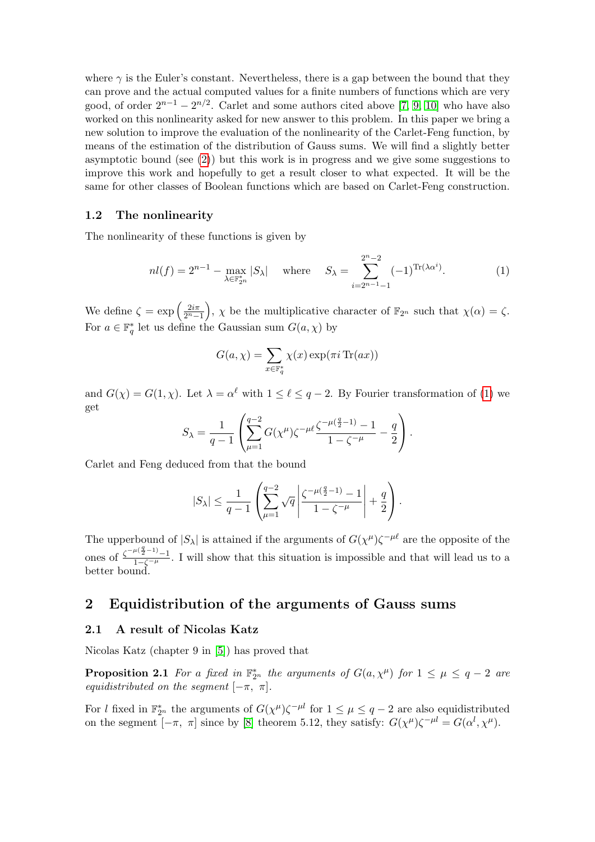where  $\gamma$  is the Euler's constant. Nevertheless, there is a gap between the bound that they can prove and the actual computed values for a finite numbers of functions which are very good, of order  $2^{n-1} - 2^{n/2}$ . Carlet and some authors cited above [\[7,](#page-6-3) [9,](#page-6-4) [10\]](#page-6-2) who have also worked on this nonlinearity asked for new answer to this problem. In this paper we bring a new solution to improve the evaluation of the nonlinearity of the Carlet-Feng function, by means of the estimation of the distribution of Gauss sums. We will find a slightly better asymptotic bound (see [\(2\)](#page-5-0)) but this work is in progress and we give some suggestions to improve this work and hopefully to get a result closer to what expected. It will be the same for other classes of Boolean functions which are based on Carlet-Feng construction.

#### 1.2 The nonlinearity

The nonlinearity of these functions is given by

$$
nl(f) = 2^{n-1} - \max_{\lambda \in \mathbb{F}_{2^n}^*} |S_\lambda| \quad \text{where} \quad S_\lambda = \sum_{i=2^{n-1}-1}^{2^n-2} (-1)^{\text{Tr}(\lambda \alpha^i)}.
$$
 (1)

We define  $\zeta = \exp\left(\frac{2i\pi}{2^{n}-1}\right)$ ,  $\chi$  be the multiplicative character of  $\mathbb{F}_{2^n}$  such that  $\chi(\alpha) = \zeta$ . For  $a \in \mathbb{F}_q^*$  let us define the Gaussian sum  $G(a, \chi)$  by

<span id="page-1-0"></span>
$$
G(a, \chi) = \sum_{x \in \mathbb{F}_q^*} \chi(x) \exp(\pi i \operatorname{Tr}(ax))
$$

and  $G(\chi) = G(1,\chi)$ . Let  $\lambda = \alpha^{\ell}$  with  $1 \leq \ell \leq q-2$ . By Fourier transformation of [\(1\)](#page-1-0) we get

$$
S_{\lambda} = \frac{1}{q-1} \left( \sum_{\mu=1}^{q-2} G(\chi^{\mu}) \zeta^{-\mu \ell} \frac{\zeta^{-\mu(\frac{q}{2}-1)} - 1}{1 - \zeta^{-\mu}} - \frac{q}{2} \right).
$$

Carlet and Feng deduced from that the bound

$$
|S_{\lambda}| \leq \frac{1}{q-1} \left( \sum_{\mu=1}^{q-2} \sqrt{q} \left| \frac{\zeta^{-\mu(\frac{q}{2}-1)} - 1}{1 - \zeta^{-\mu}} \right| + \frac{q}{2} \right).
$$

The upperbound of  $|S_\lambda|$  is attained if the arguments of  $G(\chi^\mu) \zeta$  $(\mu)\zeta^{-\mu\ell}$  are the opposite of the ones of  $\frac{\zeta^{-\mu(\frac{q}{2}-1)}-1}{1-\zeta^{-\mu}}$ . I will show that this situation is impossible and that will lead us to a better bound.

### 2 Equidistribution of the arguments of Gauss sums

#### 2.1 A result of Nicolas Katz

Nicolas Katz (chapter 9 in [\[5\]](#page-6-5)) has proved that

**Proposition 2.1** For a fixed in  $\mathbb{F}_{2^n}^*$  the arguments of  $G(a, \chi^{\mu})$  for  $1 \leq \mu \leq q-2$  are equidistributed on the segment  $[-\pi, \pi]$ .

For l fixed in  $\mathbb{F}_{2^n}^*$  the arguments of  $G(\chi^{\mu})\zeta^{-\mu l}$  for  $1 \leq \mu \leq q-2$  are also equidistributed on the segment  $[-\pi, \pi]$  since by [\[8\]](#page-6-6) theorem 5.12, they satisfy:  $G(\chi^{\mu})\zeta^{-\mu l} = G(\alpha^l, \chi^{\mu})$ .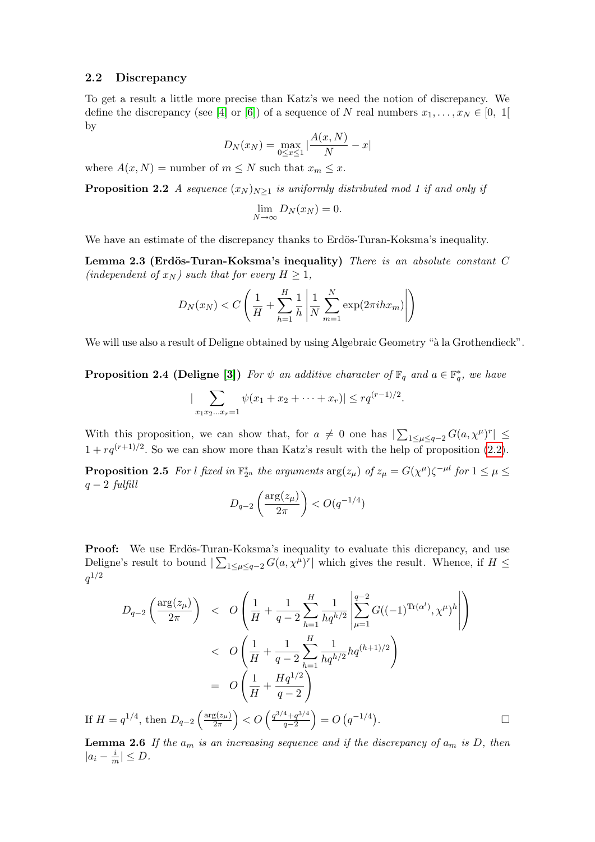#### 2.2 Discrepancy

To get a result a little more precise than Katz's we need the notion of discrepancy. We define the discrepancy (see [\[4\]](#page-6-7) or [\[6\]](#page-6-8)) of a sequence of N real numbers  $x_1, \ldots, x_N \in [0, 1]$ by

$$
D_N(x_N) = \max_{0 \le x \le 1} |\frac{A(x, N)}{N} - x|
$$

where  $A(x, N)$  = number of  $m \leq N$  such that  $x_m \leq x$ .

<span id="page-2-0"></span>**Proposition 2.2** A sequence  $(x_N)_{N\geq 1}$  is uniformly distributed mod 1 if and only if

$$
\lim_{N \to \infty} D_N(x_N) = 0.
$$

We have an estimate of the discrepancy thanks to Erdös-Turan-Koksma's inequality.

Lemma 2.3 (Erdös-Turan-Koksma's inequality) There is an absolute constant  $C$ (independent of  $x_N$ ) such that for every  $H \geq 1$ ,

$$
D_N(x_N) < C\left(\frac{1}{H} + \sum_{h=1}^H \frac{1}{h} \left| \frac{1}{N} \sum_{m=1}^N \exp(2\pi i h x_m) \right| \right)
$$

We will use also a result of Deligne obtained by using Algebraic Geometry "à la Grothendieck".

**Proposition 2.4 (Deligne [\[3\]](#page-6-9))** For  $\psi$  an additive character of  $\mathbb{F}_q$  and  $a \in \mathbb{F}_q^*$ , we have

$$
|\sum_{x_1x_2...x_r=1}\psi(x_1+x_2+\cdots+x_r)| \leq r q^{(r-1)/2}.
$$

With this proposition, we can show that, for  $a \neq 0$  one has  $|\sum_{1 \leq \mu \leq q-2} G(a, \chi^{\mu})^r| \leq$  $1 + r q^{(r+1)/2}$ . So we can show more than Katz's result with the help of proposition [\(2.2\)](#page-2-0).

<span id="page-2-1"></span>**Proposition 2.5** For l fixed in  $\mathbb{F}_{2^n}^*$  the arguments  $\arg(z_\mu)$  of  $z_\mu = G(\chi^\mu)\zeta^{-\mu l}$  for  $1 \leq \mu \leq$  $q-2$  fulfill

$$
D_{q-2}\left(\frac{\arg(z_{\mu})}{2\pi}\right) < O(q^{-1/4})
$$

**Proof:** We use Erdös-Turan-Koksma's inequality to evaluate this dicrepancy, and use Deligne's result to bound  $\sum_{1 \leq \mu \leq q-2} G(a, \chi^{\mu})^r$  which gives the result. Whence, if  $H \leq$  $q^{1/2}$ 

$$
D_{q-2}\left(\frac{\arg(z_{\mu})}{2\pi}\right) < O\left(\frac{1}{H} + \frac{1}{q-2}\sum_{h=1}^{H}\frac{1}{hq^{h/2}}\left|\sum_{\mu=1}^{q-2}G((-1)^{\text{Tr}(\alpha^{l})}, \chi^{\mu})^{h}\right|\right) < O\left(\frac{1}{H} + \frac{1}{q-2}\sum_{h=1}^{H}\frac{1}{hq^{h/2}}hq^{(h+1)/2}\right) = O\left(\frac{1}{H} + \frac{Hq^{1/2}}{q-2}\right)
$$
  
If  $H = q^{1/4}$ , then  $D_{q-2}\left(\frac{\arg(z_{\mu})}{2\pi}\right) < O\left(\frac{q^{3/4} + q^{3/4}}{q-2}\right) = O\left(q^{-1/4}\right).$ 

<span id="page-2-2"></span>**Lemma 2.6** If the  $a_m$  is an increasing sequence and if the discrepancy of  $a_m$  is D, then  $|a_i - \frac{i}{n}|$  $\frac{\iota}{m}|\leq D.$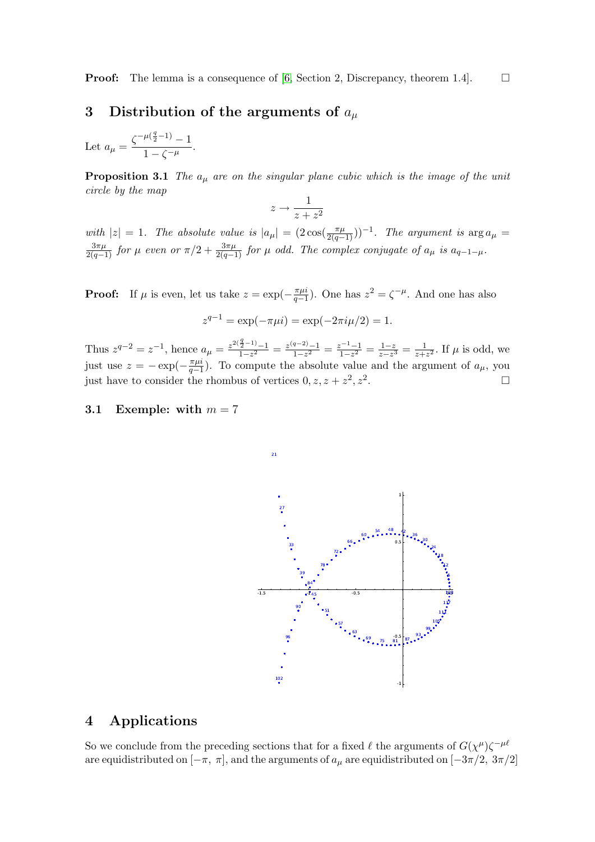**Proof:** The lemma is a consequence of [\[6,](#page-6-8) Section 2, Discrepancy, theorem 1.4].

## 3 Distribution of the arguments of  $a_\mu$

Let  $a_{\mu} = \frac{\zeta^{-\mu(\frac{q}{2}-1)} - 1}{1 - \zeta^{-\mu}}$  $\frac{1}{1-\zeta^{-\mu}}.$ 

**Proposition 3.1** The  $a_{\mu}$  are on the singular plane cubic which is the image of the unit circle by the map

$$
z \to \frac{1}{z + z^2}
$$

with  $|z| = 1$ . The absolute value is  $|a_{\mu}| = (2 \cos(\frac{\pi \mu}{2(q-1)}))^{-1}$ . The argument is  $\arg a_{\mu} =$  $\frac{3\pi\mu}{2(q-1)}$  for  $\mu$  even or  $\pi/2+\frac{3\pi\mu}{2(q-1)}$  for  $\mu$  odd. The complex conjugate of  $a_{\mu}$  is  $a_{q-1-\mu}$ .

**Proof:** If  $\mu$  is even, let us take  $z = \exp(-\frac{\pi \mu i}{\sigma - 1})$  $\frac{\pi \mu i}{q-1}$ ). One has  $z^2 = \zeta^{-\mu}$ . And one has also

$$
z^{q-1} = \exp(-\pi \mu i) = \exp(-2\pi i \mu/2) = 1.
$$

Thus  $z^{q-2} = z^{-1}$ , hence  $a_{\mu} = \frac{z^{2(\frac{q}{2}-1)} - 1}{1 - z^2}$  $\frac{\frac{3}{2}-1}{1-z^2} = \frac{z^{(q-2)}-1}{1-z^2}$  $\frac{a-2}{1-z^2} = \frac{z^{-1}-1}{1-z^2}$  $\frac{z^{-1}-1}{1-z^2} = \frac{1-z}{z-z^2}$  $\frac{1-z}{z-z^3} = \frac{1}{z+1}$  $\frac{1}{z+z^2}$ . If  $\mu$  is odd, we just use  $z = -\exp(-\frac{\pi \mu i}{a-1})$  $\frac{\pi\mu}{q-1}$ ). To compute the absolute value and the argument of  $a_{\mu}$ , you just have to consider the rhombus of vertices  $0, z, z + z^2, z^2$ .

21

### 3.1 Exemple: with  $m = 7$



## 4 Applications

So we conclude from the preceding sections that for a fixed  $\ell$  the arguments of  $G(\chi^{\mu})\zeta^{-\mu\ell}$ are equidistributed on  $[-\pi, \pi]$ , and the arguments of  $a_\mu$  are equidistributed on  $[-3\pi/2, 3\pi/2]$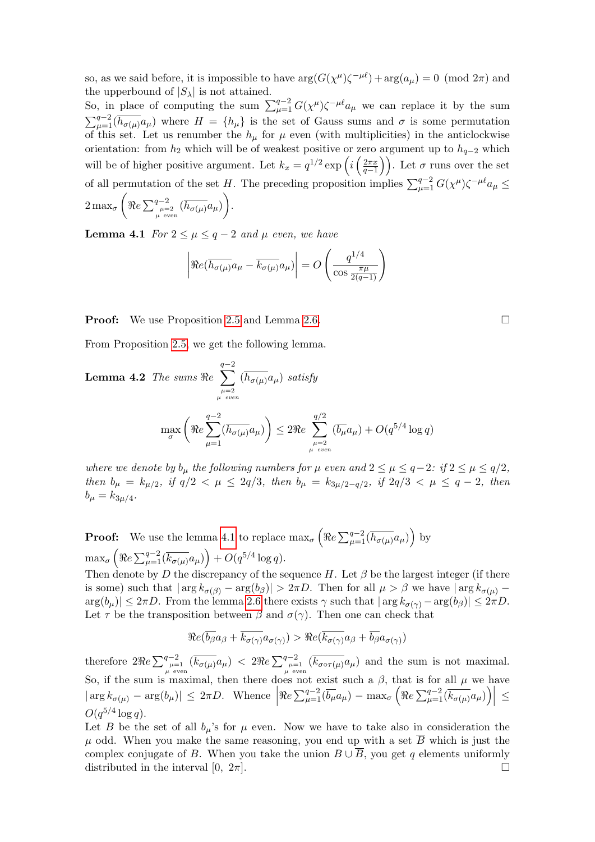so, as we said before, it is impossible to have  $\arg(G(\chi^{\mu})\zeta^{-\mu\ell}) + \arg(a_{\mu}) = 0 \pmod{2\pi}$  and the upperbound of  $|S_\lambda|$  is not attained.

So, in place of computing the sum  $\sum_{\mu=1}^{q-2} G(\chi^{\mu}) \zeta^{-\mu \ell} a_{\mu}$  we can replace it by the sum  $\sum_{\mu=1}^{q-2}$   $\left(\overline{h_{\sigma(\mu)}}a_{\mu}\right)$  where  $H = \{h_{\mu}\}\$ is the set of Gauss sums and  $\sigma$  is some permutation of this set. Let us renumber the  $h_{\mu}$  for  $\mu$  even (with multiplicities) in the anticlockwise orientation: from  $h_2$  which will be of weakest positive or zero argument up to  $h_{q-2}$  which will be of higher positive argument. Let  $k_x = q^{1/2} \exp\left(i \left(\frac{2\pi x}{q-1}\right)\right)$ . Let  $\sigma$  runs over the set of all permutation of the set H. The preceding proposition implies  $\sum_{\mu=1}^{q-2} G(\chi^{\mu}) \zeta^{-\mu \ell} a_{\mu} \leq$  $2\max_\sigma \bigg( \Re e \sum_{\mu = 2 \atop \mu\ {\rm even}}^{q-2} (\overline{h_{\sigma(\mu)}} a_\mu) \bigg).$ 

<span id="page-4-0"></span>**Lemma 4.1** For  $2 \leq \mu \leq q-2$  and  $\mu$  even, we have

$$
\left| \Re e(\overline{h_{\sigma(\mu)}} a_{\mu} - \overline{k_{\sigma(\mu)}} a_{\mu}) \right| = O\left(\frac{q^{1/4}}{\cos \frac{\pi \mu}{2(q-1)}}\right)
$$

**Proof:** We use Proposition [2.5](#page-2-1) and Lemma [2.6.](#page-2-2)

From Proposition [2.5,](#page-2-1) we get the following lemma.

**Lemma 4.2** The sums 
$$
\Re e \sum_{\mu=2 \atop \mu \text{ even}}^{q-2} (\overline{h_{\sigma(\mu)}} a_{\mu})
$$
 satisfy  

$$
\max_{\sigma} \left( \Re e \sum_{\mu=1}^{q-2} (\overline{h_{\sigma(\mu)}} a_{\mu}) \right) \leq 2 \Re e \sum_{\mu=2 \atop \mu \text{ even}}^{q/2} (\overline{b_{\mu}} a_{\mu}) + O(q^{5/4} \log q)
$$

where we denote by  $b_{\mu}$  the following numbers for  $\mu$  even and  $2 \leq \mu \leq q-2$ : if  $2 \leq \mu \leq q/2$ , then  $b_{\mu} = k_{\mu/2}$ , if  $q/2 < \mu \leq 2q/3$ , then  $b_{\mu} = k_{3\mu/2-q/2}$ , if  $2q/3 < \mu \leq q-2$ , then  $b_{\mu} = k_{3\mu/4}.$ 

**Proof:** We use the lemma [4.1](#page-4-0) to replace  $\max_{\sigma} \left( \Re e \sum_{\mu=1}^{q-2} (\overline{h_{\sigma(\mu)}} a_{\mu}) \right)$  by  $\max_{\sigma} \left( \Re e \sum_{\mu=1}^{q-2} (\overline{k_{\sigma(\mu)}} a_{\mu}) \right) + O(q^{5/4} \log q).$ 

Then denote by D the discrepancy of the sequence H. Let  $\beta$  be the largest integer (if there is some) such that  $|\arg k_{\sigma(\beta)} - \arg(b_{\beta})| > 2\pi D$ . Then for all  $\mu > \beta$  we have  $|\arg k_{\sigma(\mu)} - \beta| > 2\pi D$ .  $\arg(b_\mu)| \leq 2\pi D$ . From the lemma [2.6](#page-2-2) there exists  $\gamma$  such that  $|\arg k_{\sigma(\gamma)} - \arg(b_\beta)| \leq 2\pi D$ . Let  $\tau$  be the transposition between  $\beta$  and  $\sigma(\gamma)$ . Then one can check that

$$
\Re e(\overline{b_{\beta}}a_{\beta} + \overline{k_{\sigma(\gamma)}}a_{\sigma(\gamma)}) > \Re e(\overline{k_{\sigma(\gamma)}}a_{\beta} + \overline{b_{\beta}}a_{\sigma(\gamma)})
$$

therefore  $2\Re e \sum_{\mu=1 \atop \mu \text{ even}}^{q-2} (\overline{k_{\sigma(\mu)}} a_{\mu}) < 2\Re e \sum_{\mu=1 \atop \mu \text{ even}}^{q-2} (\overline{k_{\sigma(\sigma\tau(\mu)}} a_{\mu})$  and the sum is not maximal. So, if the sum is maximal, then there does not exist such a  $\beta$ , that is for all  $\mu$  we have  $|\arg k_{\sigma(\mu)} - \arg(b_{\mu})| \leq 2\pi D$ . Whence  $\Re e \sum_{\mu=1}^{q-2} (\overline{b_{\mu}} a_{\mu}) - \max_{\sigma} \left( \Re e \sum_{\mu=1}^{q-2} (\overline{k_{\sigma(\mu)}} a_{\mu}) \right) \geq$  $O(q^{5/4}\log q)$ .

Let B be the set of all  $b_{\mu}$ 's for  $\mu$  even. Now we have to take also in consideration the u odd. When you make the same reasoning, you end up with a set  $\overline{B}$  which is just the complex conjugate of B. When you take the union  $B \cup \overline{B}$ , you get q elements uniformly distributed in the interval [0,  $2\pi$ ].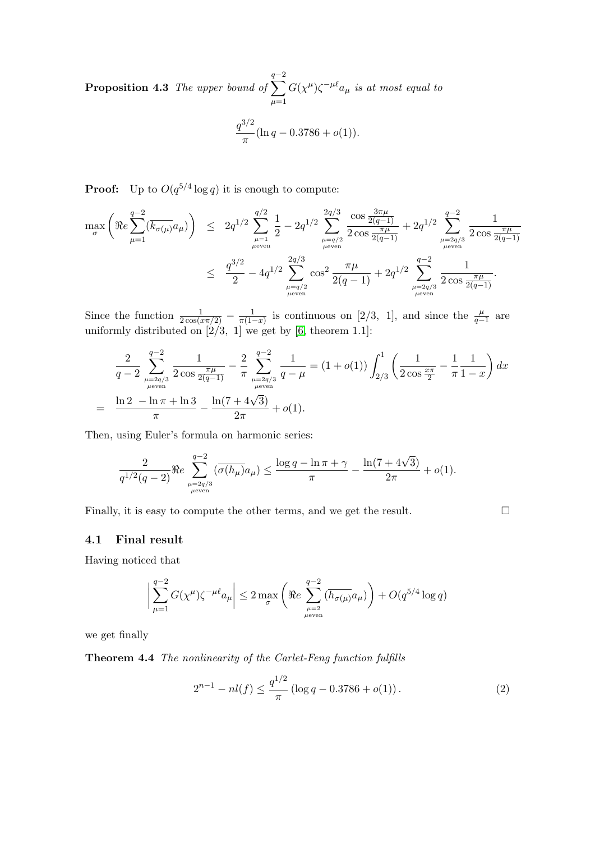**Proposition 4.3** The upper bound of  $\sum$  $q-2$  $\mu=1$  $G(\chi^{\mu})\zeta^{-\mu \ell}a_{\mu}$  is at most equal to  $q^{3/2}$  $\frac{1}{\pi}$ (ln q – 0.3786 +  $o(1)$ ).

**Proof:** Up to  $O(q^{5/4} \log q)$  it is enough to compute:

$$
\begin{array}{lcl} \displaystyle \max_{\sigma} \left( \Re e \sum_{\mu = 1}^{q-2} (\overline{k_{\sigma(\mu)}} a_{\mu}) \right) & \leq & 2q^{1/2} \sum_{\mu = 1}^{q/2} \frac{1}{2} - 2q^{1/2} \sum_{\mu = q/2}^{2q/3} \frac{\cos \frac{3\pi \mu}{2(q-1)}}{2 \cos \frac{\pi \mu}{2(q-1)}} + 2q^{1/2} \sum_{\mu = 2q/3}^{q-2} \frac{1}{2 \cos \frac{\pi \mu}{2(q-1)}} \\ & \leq & \displaystyle \frac{q^{3/2}}{2} - 4q^{1/2} \sum_{\mu = q/2}^{2q/3} \cos^2 \frac{\pi \mu}{2(q-1)} + 2q^{1/2} \sum_{\mu = 2q/3}^{q-2} \frac{1}{2 \cos \frac{\pi \mu}{2(q-1)}}. \end{array}
$$

Since the function  $\frac{1}{2\cos(\pi x/2)} - \frac{1}{\pi(1-\pi)}$  $\frac{1}{\pi(1-x)}$  is continuous on [2/3, 1], and since the  $\frac{\mu}{q-1}$  are uniformly distributed on  $[2/3, 1]$  we get by  $[6,$  theorem 1.1]:

$$
\frac{2}{q-2} \sum_{\substack{\mu=2q/3 \\ \mu \text{ even}}}^{q-2} \frac{1}{2 \cos \frac{\pi \mu}{2(q-1)}} - \frac{2}{\pi} \sum_{\substack{\mu=2q/3 \\ \mu \text{ even}}}^{q-2} \frac{1}{q-\mu} = (1+o(1)) \int_{2/3}^{1} \left( \frac{1}{2 \cos \frac{x\pi}{2}} - \frac{1}{\pi} \frac{1}{1-x} \right) dx
$$

$$
= \frac{\ln 2 - \ln \pi + \ln 3}{\pi} - \frac{\ln(7+4\sqrt{3})}{2\pi} + o(1).
$$

Then, using Euler's formula on harmonic series:

$$
\frac{2}{q^{1/2}(q-2)} \Re e \sum_{\mu=2q/3 \atop \mu \text{ even}}^{q-2} (\overline{\sigma(h_{\mu})}a_{\mu}) \le \frac{\log q - \ln \pi + \gamma}{\pi} - \frac{\ln (7+4\sqrt{3})}{2\pi} + o(1).
$$

Finally, it is easy to compute the other terms, and we get the result.  $\Box$ 

#### 4.1 Final result

Having noticed that

$$
\bigg|\sum_{\mu=1}^{q-2}G(\chi^{\mu})\zeta^{-\mu\ell}a_{\mu}\bigg|\leq 2\max_{\sigma}\left(\Re e\sum_{\mu=2\atop \mu\text{even}}^{q-2}\overline{(h_{\sigma(\mu)}}a_{\mu})\right)+O(q^{5/4}\log q)
$$

we get finally

Theorem 4.4 The nonlinearity of the Carlet-Feng function fulfills

<span id="page-5-0"></span>
$$
2^{n-1} - nl(f) \le \frac{q^{1/2}}{\pi} \left( \log q - 0.3786 + o(1) \right). \tag{2}
$$